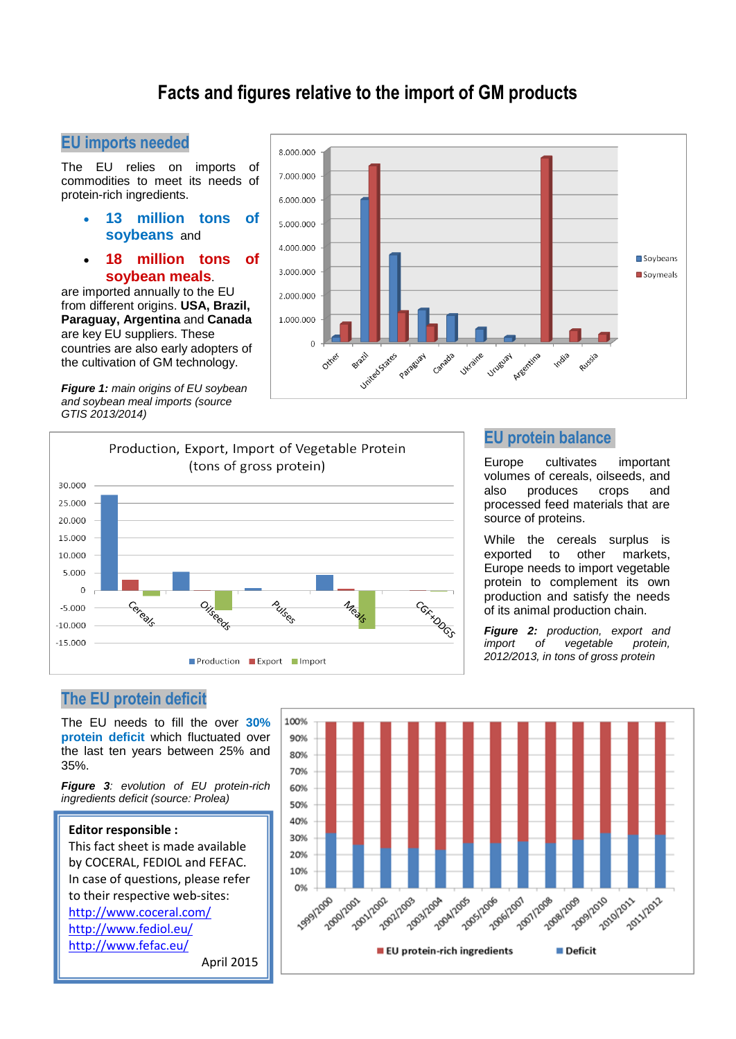# **Facts and figures relative to the import of GM products**

# **EU imports needed**

The EU relies on imports of commodities to meet its needs of protein-rich ingredients.

- **13 million tons of soybeans** and
- **18 million tons of soybean meals**.

are imported annually to the EU from different origins. **USA, Brazil, Paraguay, Argentina** and **Canada** are key EU suppliers. These countries are also early adopters of the cultivation of GM technology.

*Figure 1: main origins of EU soybean and soybean meal imports (source GTIS 2013/2014)* 





## **EU protein balance**

Europe cultivates important volumes of cereals, oilseeds, and also produces crops and processed feed materials that are source of proteins.

While the cereals surplus is exported to other markets, Europe needs to import vegetable protein to complement its own production and satisfy the needs of its animal production chain.

*Figure 2: production, export and import* of vegetable *2012/2013, in tons of gross protein*

# **The EU protein deficit**

The EU needs to fill the over **30% protein deficit** which fluctuated over the last ten years between 25% and 35%.

*Figure 3: evolution of EU protein-rich ingredients deficit (source: Prolea)*

#### **Editor responsible :**

This fact sheet is made available by COCERAL, FEDIOL and FEFAC. In case of questions, please refer to their respective web-sites: <http://www.coceral.com/> <http://www.fediol.eu/> <http://www.fefac.eu/> April 2015